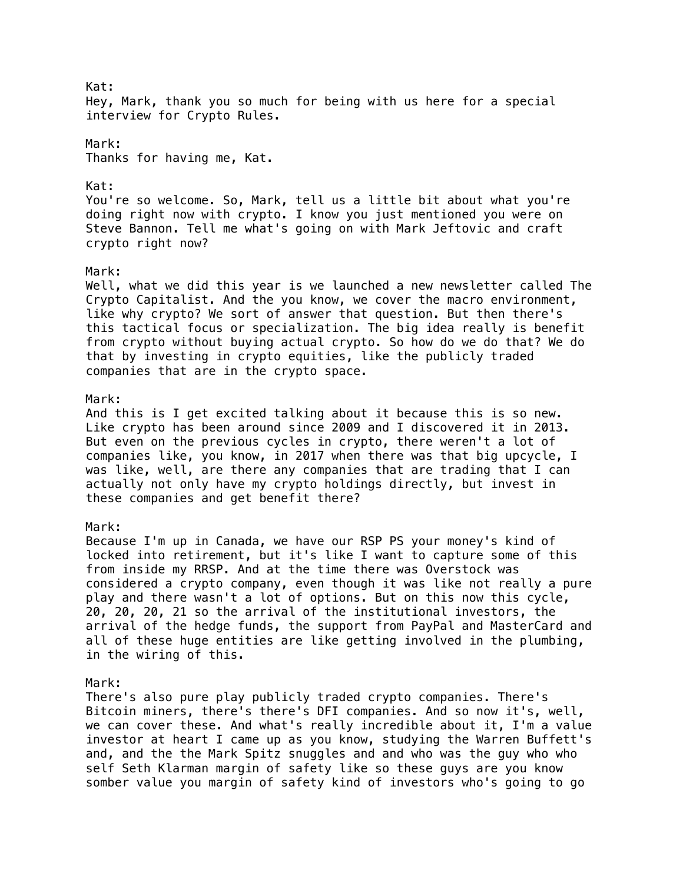Kat: Hey, Mark, thank you so much for being with us here for a special interview for Crypto Rules. Mark: Thanks for having me, Kat. Kat: You're so welcome. So, Mark, tell us a little bit about what you're doing right now with crypto. I know you just mentioned you were on Steve Bannon. Tell me what's going on with Mark Jeftovic and craft crypto right now? Mark: Well, what we did this year is we launched a new newsletter called The Crypto Capitalist. And the you know, we cover the macro environment, like why crypto? We sort of answer that question. But then there's this tactical focus or specialization. The big idea really is benefit from crypto without buying actual crypto. So how do we do that? We do that by investing in crypto equities, like the publicly traded companies that are in the crypto space. Mark: And this is I get excited talking about it because this is so new. Like crypto has been around since 2009 and I discovered it in 2013. But even on the previous cycles in crypto, there weren't a lot of companies like, you know, in 2017 when there was that big upcycle, I was like, well, are there any companies that are trading that I can actually not only have my crypto holdings directly, but invest in these companies and get benefit there? Mark: Because I'm up in Canada, we have our RSP PS your money's kind of locked into retirement, but it's like I want to capture some of this from inside my RRSP. And at the time there was Overstock was considered a crypto company, even though it was like not really a pure play and there wasn't a lot of options. But on this now this cycle, 20, 20, 20, 21 so the arrival of the institutional investors, the arrival of the hedge funds, the support from PayPal and MasterCard and all of these huge entities are like getting involved in the plumbing, in the wiring of this. Mark: There's also pure play publicly traded crypto companies. There's Bitcoin miners, there's there's DFI companies. And so now it's, well, we can cover these. And what's really incredible about it, I'm a value investor at heart I came up as you know, studying the Warren Buffett's and, and the the Mark Spitz snuggles and and who was the guy who who self Seth Klarman margin of safety like so these guys are you know somber value you margin of safety kind of investors who's going to go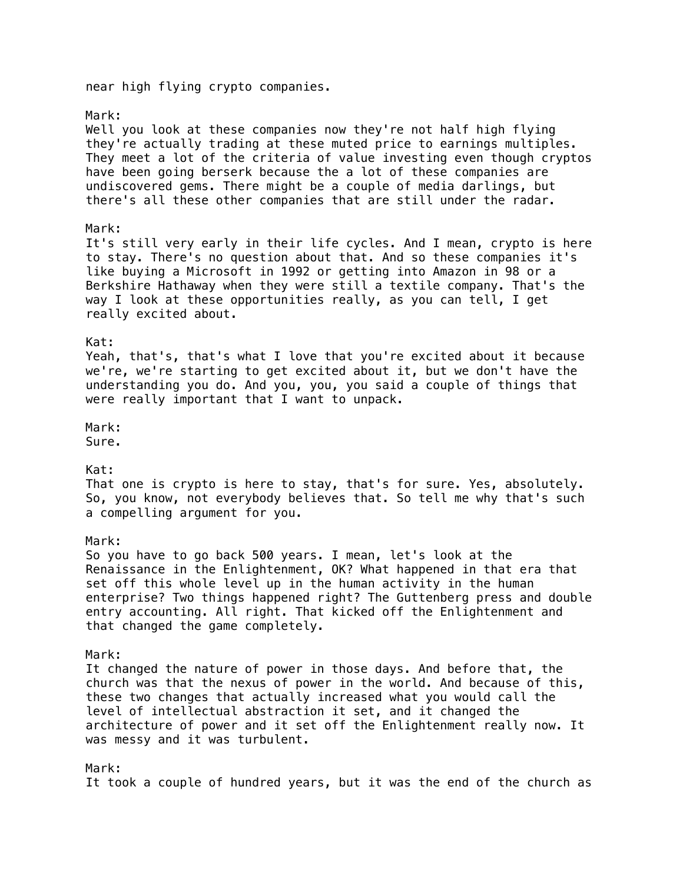near high flying crypto companies.

### Mark:

Well you look at these companies now they're not half high flying they're actually trading at these muted price to earnings multiples. They meet a lot of the criteria of value investing even though cryptos have been going berserk because the a lot of these companies are undiscovered gems. There might be a couple of media darlings, but there's all these other companies that are still under the radar.

### Mark:

It's still very early in their life cycles. And I mean, crypto is here to stay. There's no question about that. And so these companies it's like buying a Microsoft in 1992 or getting into Amazon in 98 or a Berkshire Hathaway when they were still a textile company. That's the way I look at these opportunities really, as you can tell, I get really excited about.

### Kat:

Yeah, that's, that's what I love that you're excited about it because we're, we're starting to get excited about it, but we don't have the understanding you do. And you, you, you said a couple of things that were really important that I want to unpack.

# Mark:

Sure.

# Kat:

That one is crypto is here to stay, that's for sure. Yes, absolutely. So, you know, not everybody believes that. So tell me why that's such a compelling argument for you.

### Mark:

So you have to go back 500 years. I mean, let's look at the Renaissance in the Enlightenment, OK? What happened in that era that set off this whole level up in the human activity in the human enterprise? Two things happened right? The Guttenberg press and double entry accounting. All right. That kicked off the Enlightenment and that changed the game completely.

#### Mark:

It changed the nature of power in those days. And before that, the church was that the nexus of power in the world. And because of this, these two changes that actually increased what you would call the level of intellectual abstraction it set, and it changed the architecture of power and it set off the Enlightenment really now. It was messy and it was turbulent.

### Mark:

It took a couple of hundred years, but it was the end of the church as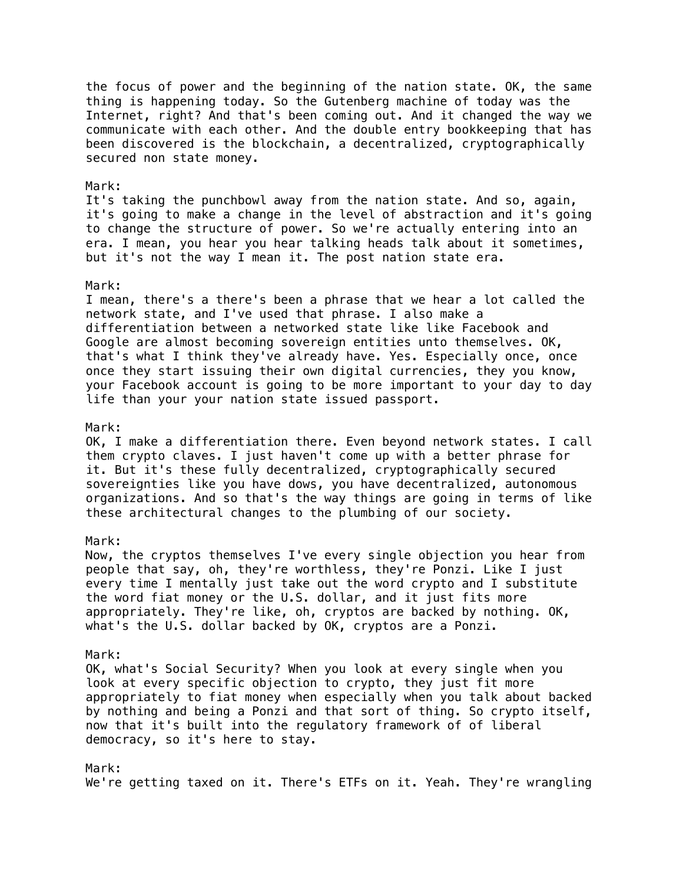the focus of power and the beginning of the nation state. OK, the same thing is happening today. So the Gutenberg machine of today was the Internet, right? And that's been coming out. And it changed the way we communicate with each other. And the double entry bookkeeping that has been discovered is the blockchain, a decentralized, cryptographically secured non state money.

#### Mark:

It's taking the punchbowl away from the nation state. And so, again, it's going to make a change in the level of abstraction and it's going to change the structure of power. So we're actually entering into an era. I mean, you hear you hear talking heads talk about it sometimes, but it's not the way I mean it. The post nation state era.

#### Mark:

I mean, there's a there's been a phrase that we hear a lot called the network state, and I've used that phrase. I also make a differentiation between a networked state like like Facebook and Google are almost becoming sovereign entities unto themselves. OK, that's what I think they've already have. Yes. Especially once, once once they start issuing their own digital currencies, they you know, your Facebook account is going to be more important to your day to day life than your your nation state issued passport.

#### Mark:

OK, I make a differentiation there. Even beyond network states. I call them crypto claves. I just haven't come up with a better phrase for it. But it's these fully decentralized, cryptographically secured sovereignties like you have dows, you have decentralized, autonomous organizations. And so that's the way things are going in terms of like these architectural changes to the plumbing of our society.

### Mark:

Now, the cryptos themselves I've every single objection you hear from people that say, oh, they're worthless, they're Ponzi. Like I just every time I mentally just take out the word crypto and I substitute the word fiat money or the U.S. dollar, and it just fits more appropriately. They're like, oh, cryptos are backed by nothing. OK, what's the U.S. dollar backed by OK, cryptos are a Ponzi.

#### Mark:

OK, what's Social Security? When you look at every single when you look at every specific objection to crypto, they just fit more appropriately to fiat money when especially when you talk about backed by nothing and being a Ponzi and that sort of thing. So crypto itself, now that it's built into the regulatory framework of of liberal democracy, so it's here to stay.

#### Mark:

We're getting taxed on it. There's ETFs on it. Yeah. They're wrangling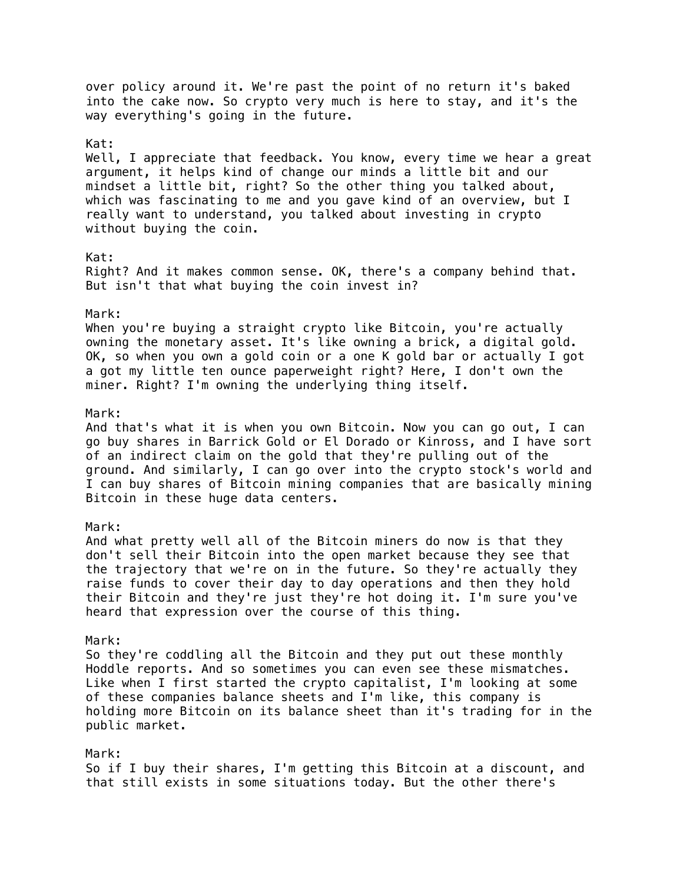over policy around it. We're past the point of no return it's baked into the cake now. So crypto very much is here to stay, and it's the way everything's going in the future. Kat: Well, I appreciate that feedback. You know, every time we hear a great argument, it helps kind of change our minds a little bit and our mindset a little bit, right? So the other thing you talked about, which was fascinating to me and you gave kind of an overview, but I really want to understand, you talked about investing in crypto without buying the coin. Kat: Right? And it makes common sense. OK, there's a company behind that. But isn't that what buying the coin invest in? Mark: When you're buying a straight crypto like Bitcoin, you're actually owning the monetary asset. It's like owning a brick, a digital gold. OK, so when you own a gold coin or a one K gold bar or actually I got a got my little ten ounce paperweight right? Here, I don't own the miner. Right? I'm owning the underlying thing itself. Mark: And that's what it is when you own Bitcoin. Now you can go out, I can go buy shares in Barrick Gold or El Dorado or Kinross, and I have sort of an indirect claim on the gold that they're pulling out of the ground. And similarly, I can go over into the crypto stock's world and I can buy shares of Bitcoin mining companies that are basically mining Bitcoin in these huge data centers. Mark: And what pretty well all of the Bitcoin miners do now is that they don't sell their Bitcoin into the open market because they see that the trajectory that we're on in the future. So they're actually they raise funds to cover their day to day operations and then they hold their Bitcoin and they're just they're hot doing it. I'm sure you've heard that expression over the course of this thing. Mark: So they're coddling all the Bitcoin and they put out these monthly Hoddle reports. And so sometimes you can even see these mismatches. Like when I first started the crypto capitalist, I'm looking at some of these companies balance sheets and I'm like, this company is holding more Bitcoin on its balance sheet than it's trading for in the public market. Mark: So if I buy their shares, I'm getting this Bitcoin at a discount, and that still exists in some situations today. But the other there's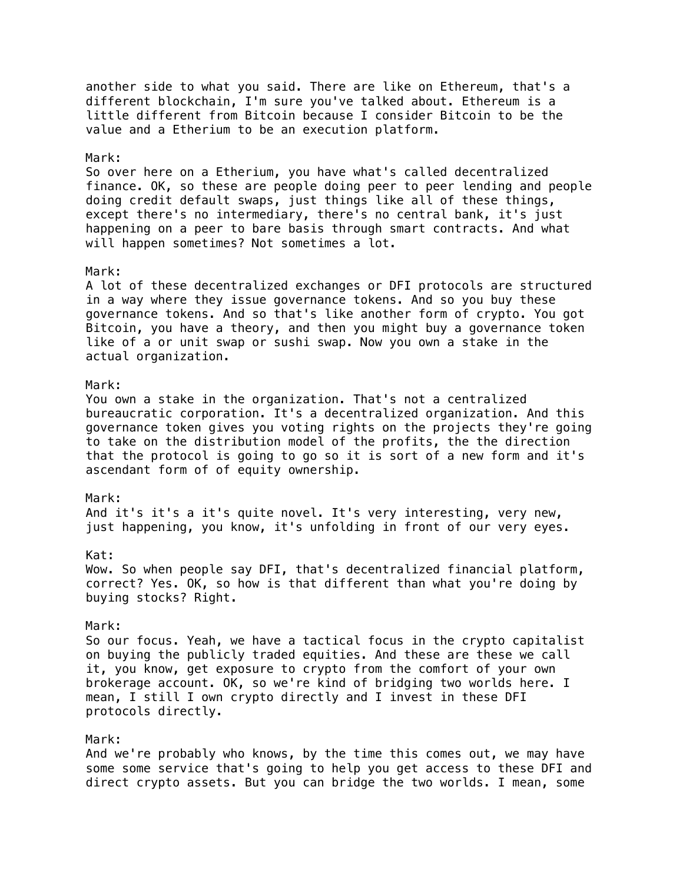another side to what you said. There are like on Ethereum, that's a different blockchain, I'm sure you've talked about. Ethereum is a little different from Bitcoin because I consider Bitcoin to be the value and a Etherium to be an execution platform.

# Mark:

So over here on a Etherium, you have what's called decentralized finance. OK, so these are people doing peer to peer lending and people doing credit default swaps, just things like all of these things, except there's no intermediary, there's no central bank, it's just happening on a peer to bare basis through smart contracts. And what will happen sometimes? Not sometimes a lot.

### Mark:

A lot of these decentralized exchanges or DFI protocols are structured in a way where they issue governance tokens. And so you buy these governance tokens. And so that's like another form of crypto. You got Bitcoin, you have a theory, and then you might buy a governance token like of a or unit swap or sushi swap. Now you own a stake in the actual organization.

### Mark:

You own a stake in the organization. That's not a centralized bureaucratic corporation. It's a decentralized organization. And this governance token gives you voting rights on the projects they're going to take on the distribution model of the profits, the the direction that the protocol is going to go so it is sort of a new form and it's ascendant form of of equity ownership.

#### Mark:

And it's it's a it's quite novel. It's very interesting, very new, just happening, you know, it's unfolding in front of our very eyes.

### Kat:

Wow. So when people say DFI, that's decentralized financial platform, correct? Yes. OK, so how is that different than what you're doing by buying stocks? Right.

#### Mark:

So our focus. Yeah, we have a tactical focus in the crypto capitalist on buying the publicly traded equities. And these are these we call it, you know, get exposure to crypto from the comfort of your own brokerage account. OK, so we're kind of bridging two worlds here. I mean, I still I own crypto directly and I invest in these DFI protocols directly.

### Mark:

And we're probably who knows, by the time this comes out, we may have some some service that's going to help you get access to these DFI and direct crypto assets. But you can bridge the two worlds. I mean, some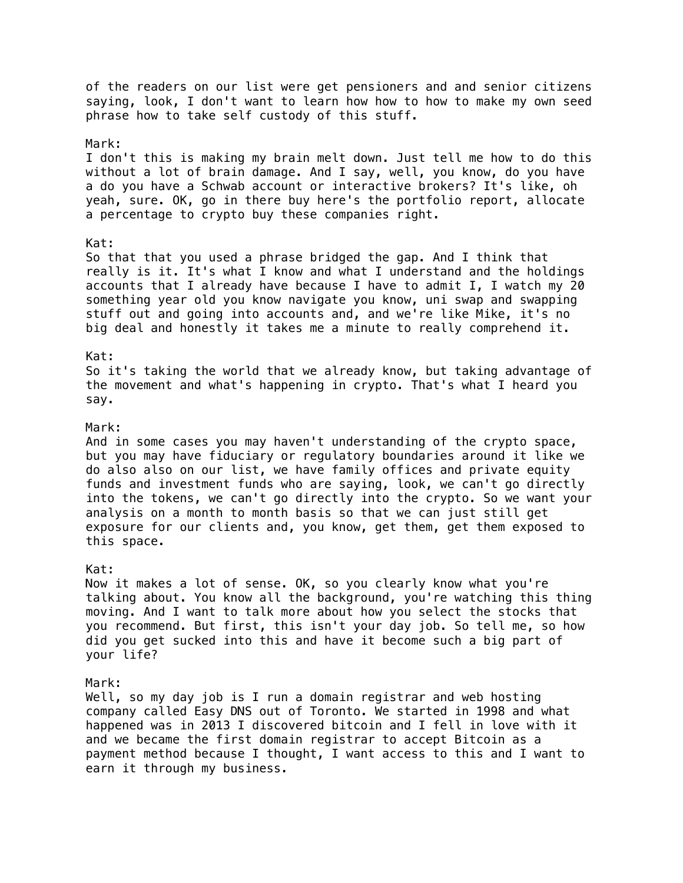of the readers on our list were get pensioners and and senior citizens saying, look, I don't want to learn how how to how to make my own seed phrase how to take self custody of this stuff. Mark: I don't this is making my brain melt down. Just tell me how to do this without a lot of brain damage. And I say, well, you know, do you have a do you have a Schwab account or interactive brokers? It's like, oh yeah, sure. OK, go in there buy here's the portfolio report, allocate a percentage to crypto buy these companies right. Kat: So that that you used a phrase bridged the gap. And I think that really is it. It's what I know and what I understand and the holdings accounts that I already have because I have to admit I, I watch my 20 something year old you know navigate you know, uni swap and swapping stuff out and going into accounts and, and we're like Mike, it's no big deal and honestly it takes me a minute to really comprehend it. Kat: So it's taking the world that we already know, but taking advantage of the movement and what's happening in crypto. That's what I heard you say. Mark: And in some cases you may haven't understanding of the crypto space, but you may have fiduciary or regulatory boundaries around it like we do also also on our list, we have family offices and private equity funds and investment funds who are saying, look, we can't go directly into the tokens, we can't go directly into the crypto. So we want your analysis on a month to month basis so that we can just still get exposure for our clients and, you know, get them, get them exposed to this space. Kat: Now it makes a lot of sense. OK, so you clearly know what you're talking about. You know all the background, you're watching this thing moving. And I want to talk more about how you select the stocks that you recommend. But first, this isn't your day job. So tell me, so how did you get sucked into this and have it become such a big part of your life? Mark: Well, so my day job is I run a domain registrar and web hosting company called Easy DNS out of Toronto. We started in 1998 and what happened was in 2013 I discovered bitcoin and I fell in love with it and we became the first domain registrar to accept Bitcoin as a payment method because I thought, I want access to this and I want to

earn it through my business.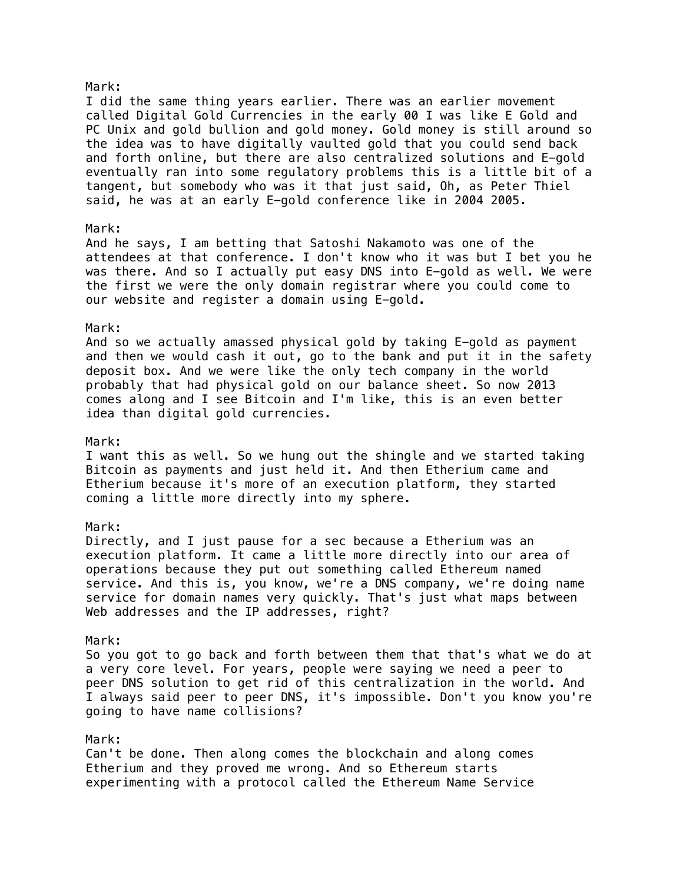# I did the same thing years earlier. There was an earlier movement called Digital Gold Currencies in the early 00 I was like E Gold and PC Unix and gold bullion and gold money. Gold money is still around so the idea was to have digitally vaulted gold that you could send back and forth online, but there are also centralized solutions and E-gold eventually ran into some regulatory problems this is a little bit of a tangent, but somebody who was it that just said, Oh, as Peter Thiel said, he was at an early E-gold conference like in 2004 2005. Mark:

And he says, I am betting that Satoshi Nakamoto was one of the attendees at that conference. I don't know who it was but I bet you he was there. And so I actually put easy DNS into E-gold as well. We were the first we were the only domain registrar where you could come to our website and register a domain using E-gold.

#### Mark:

And so we actually amassed physical gold by taking E-gold as payment and then we would cash it out, go to the bank and put it in the safety deposit box. And we were like the only tech company in the world probably that had physical gold on our balance sheet. So now 2013 comes along and I see Bitcoin and I'm like, this is an even better idea than digital gold currencies.

#### Mark:

I want this as well. So we hung out the shingle and we started taking Bitcoin as payments and just held it. And then Etherium came and Etherium because it's more of an execution platform, they started coming a little more directly into my sphere.

# Mark:

Directly, and I just pause for a sec because a Etherium was an execution platform. It came a little more directly into our area of operations because they put out something called Ethereum named service. And this is, you know, we're a DNS company, we're doing name service for domain names very quickly. That's just what maps between Web addresses and the IP addresses, right?

### Mark:

So you got to go back and forth between them that that's what we do at a very core level. For years, people were saying we need a peer to peer DNS solution to get rid of this centralization in the world. And I always said peer to peer DNS, it's impossible. Don't you know you're going to have name collisions?

## Mark:

Can't be done. Then along comes the blockchain and along comes Etherium and they proved me wrong. And so Ethereum starts experimenting with a protocol called the Ethereum Name Service

### Mark: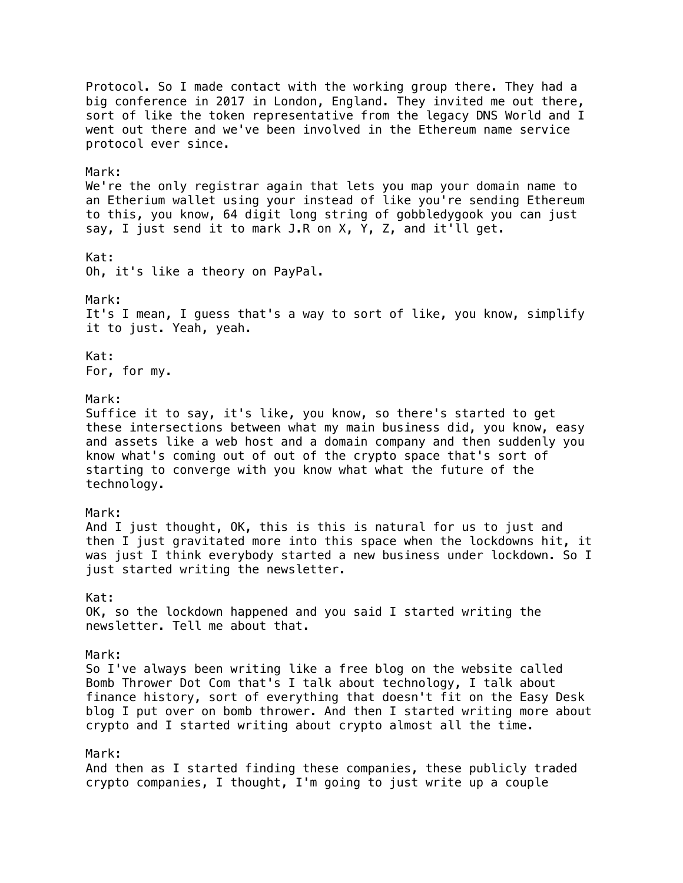Protocol. So I made contact with the working group there. They had a big conference in 2017 in London, England. They invited me out there, sort of like the token representative from the legacy DNS World and I went out there and we've been involved in the Ethereum name service protocol ever since. Mark: We're the only registrar again that lets you map your domain name to an Etherium wallet using your instead of like you're sending Ethereum to this, you know, 64 digit long string of gobbledygook you can just say, I just send it to mark J.R on X, Y, Z, and it'll get. Kat: Oh, it's like a theory on PayPal. Mark: It's I mean, I guess that's a way to sort of like, you know, simplify it to just. Yeah, yeah. Kat: For, for my. Mark: Suffice it to say, it's like, you know, so there's started to get these intersections between what my main business did, you know, easy and assets like a web host and a domain company and then suddenly you know what's coming out of out of the crypto space that's sort of starting to converge with you know what what the future of the technology. Mark: And I just thought, OK, this is this is natural for us to just and then I just gravitated more into this space when the lockdowns hit, it was just I think everybody started a new business under lockdown. So I just started writing the newsletter. Kat: OK, so the lockdown happened and you said I started writing the newsletter. Tell me about that. Mark: So I've always been writing like a free blog on the website called Bomb Thrower Dot Com that's I talk about technology, I talk about finance history, sort of everything that doesn't fit on the Easy Desk blog I put over on bomb thrower. And then I started writing more about crypto and I started writing about crypto almost all the time. Mark: And then as I started finding these companies, these publicly traded crypto companies, I thought, I'm going to just write up a couple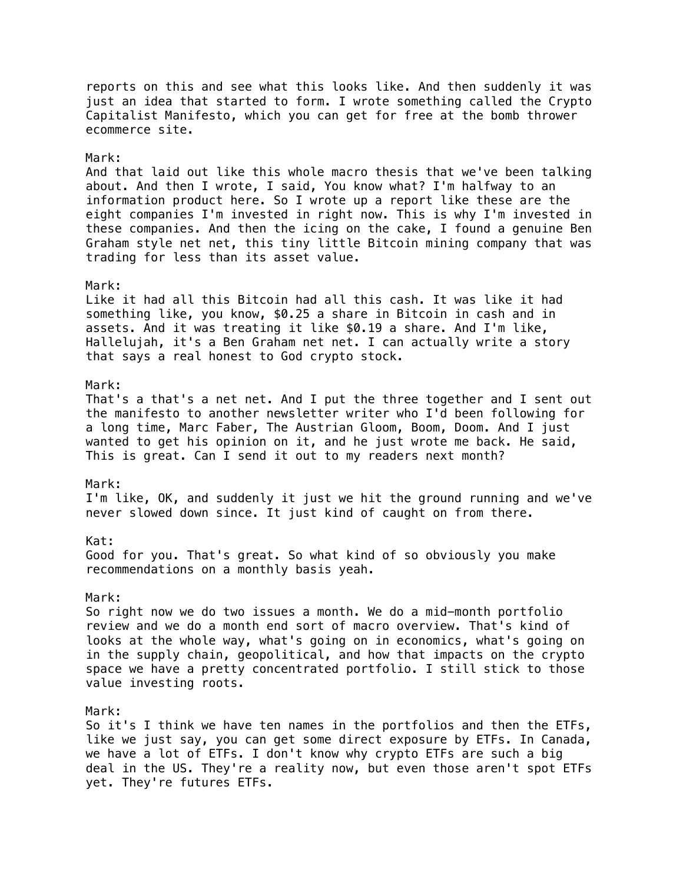reports on this and see what this looks like. And then suddenly it was just an idea that started to form. I wrote something called the Crypto Capitalist Manifesto, which you can get for free at the bomb thrower ecommerce site. Mark: And that laid out like this whole macro thesis that we've been talking about. And then I wrote, I said, You know what? I'm halfway to an information product here. So I wrote up a report like these are the eight companies I'm invested in right now. This is why I'm invested in these companies. And then the icing on the cake, I found a genuine Ben Graham style net net, this tiny little Bitcoin mining company that was trading for less than its asset value. Mark: Like it had all this Bitcoin had all this cash. It was like it had something like, you know, \$0.25 a share in Bitcoin in cash and in assets. And it was treating it like \$0.19 a share. And I'm like, Hallelujah, it's a Ben Graham net net. I can actually write a story that says a real honest to God crypto stock. Mark: That's a that's a net net. And I put the three together and I sent out the manifesto to another newsletter writer who I'd been following for a long time, Marc Faber, The Austrian Gloom, Boom, Doom. And I just wanted to get his opinion on it, and he just wrote me back. He said, This is great. Can I send it out to my readers next month? Mark: I'm like, OK, and suddenly it just we hit the ground running and we've never slowed down since. It just kind of caught on from there. Kat: Good for you. That's great. So what kind of so obviously you make recommendations on a monthly basis yeah. Mark: So right now we do two issues a month. We do a mid-month portfolio review and we do a month end sort of macro overview. That's kind of looks at the whole way, what's going on in economics, what's going on in the supply chain, geopolitical, and how that impacts on the crypto space we have a pretty concentrated portfolio. I still stick to those value investing roots. Mark: So it's I think we have ten names in the portfolios and then the ETFs, like we just say, you can get some direct exposure by ETFs. In Canada, we have a lot of ETFs. I don't know why crypto ETFs are such a big deal in the US. They're a reality now, but even those aren't spot ETFs yet. They're futures ETFs.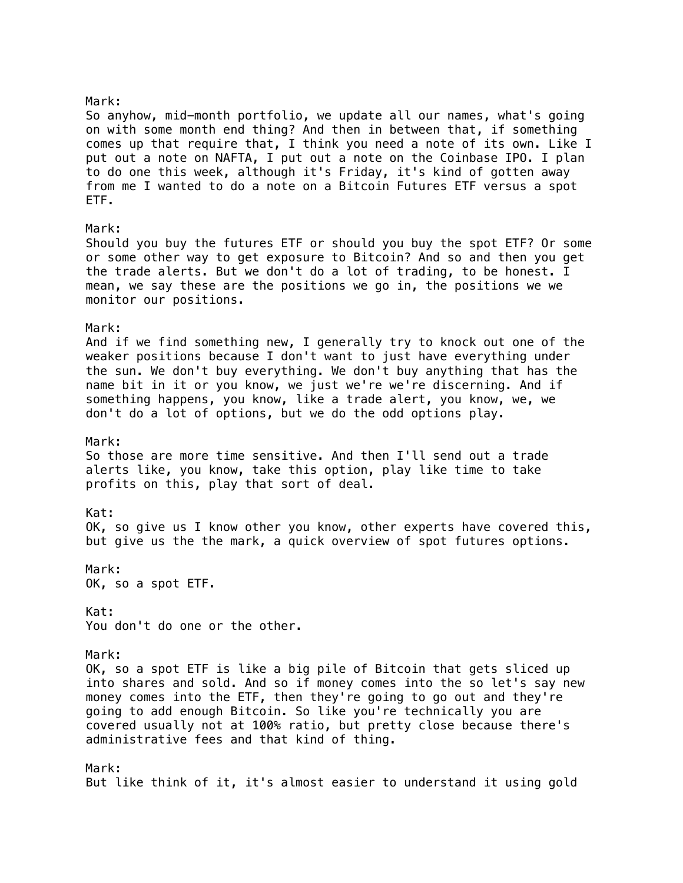Mark: So anyhow, mid-month portfolio, we update all our names, what's going on with some month end thing? And then in between that, if something comes up that require that, I think you need a note of its own. Like I put out a note on NAFTA, I put out a note on the Coinbase IPO. I plan to do one this week, although it's Friday, it's kind of gotten away from me I wanted to do a note on a Bitcoin Futures ETF versus a spot ETF. Mark: Should you buy the futures ETF or should you buy the spot ETF? Or some or some other way to get exposure to Bitcoin? And so and then you get the trade alerts. But we don't do a lot of trading, to be honest. I mean, we say these are the positions we go in, the positions we we monitor our positions. Mark: And if we find something new, I generally try to knock out one of the weaker positions because I don't want to just have everything under the sun. We don't buy everything. We don't buy anything that has the name bit in it or you know, we just we're we're discerning. And if something happens, you know, like a trade alert, you know, we, we don't do a lot of options, but we do the odd options play. Mark: So those are more time sensitive. And then I'll send out a trade alerts like, you know, take this option, play like time to take profits on this, play that sort of deal. Kat: OK, so give us I know other you know, other experts have covered this, but give us the the mark, a quick overview of spot futures options. Mark: OK, so a spot ETF. Kat: You don't do one or the other. Mark: OK, so a spot ETF is like a big pile of Bitcoin that gets sliced up into shares and sold. And so if money comes into the so let's say new money comes into the ETF, then they're going to go out and they're going to add enough Bitcoin. So like you're technically you are covered usually not at 100% ratio, but pretty close because there's administrative fees and that kind of thing. Mark: But like think of it, it's almost easier to understand it using gold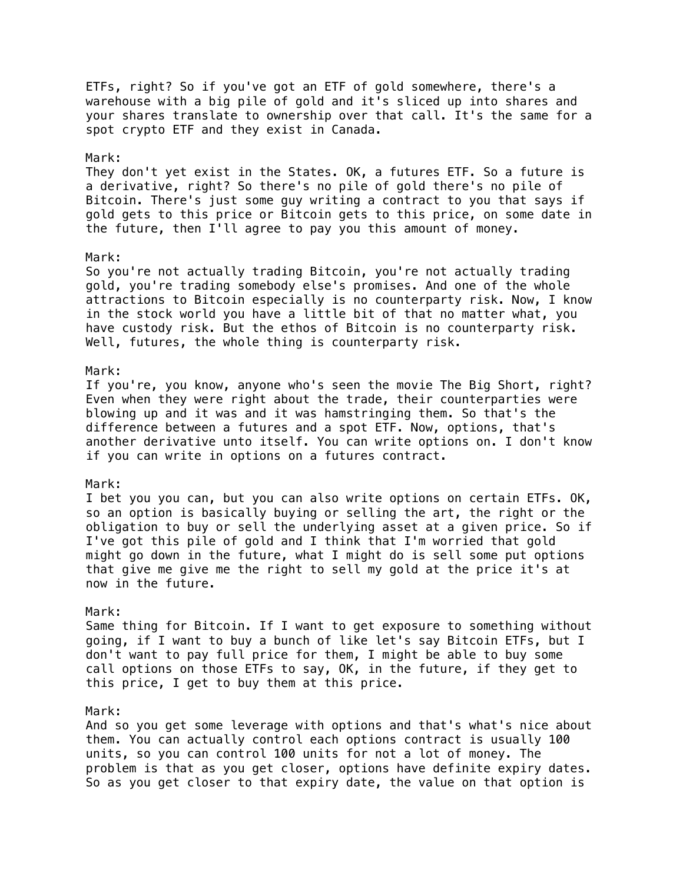ETFs, right? So if you've got an ETF of gold somewhere, there's a warehouse with a big pile of gold and it's sliced up into shares and your shares translate to ownership over that call. It's the same for a spot crypto ETF and they exist in Canada.

#### Mark:

They don't yet exist in the States. OK, a futures ETF. So a future is a derivative, right? So there's no pile of gold there's no pile of Bitcoin. There's just some guy writing a contract to you that says if gold gets to this price or Bitcoin gets to this price, on some date in the future, then I'll agree to pay you this amount of money.

#### Mark:

So you're not actually trading Bitcoin, you're not actually trading gold, you're trading somebody else's promises. And one of the whole attractions to Bitcoin especially is no counterparty risk. Now, I know in the stock world you have a little bit of that no matter what, you have custody risk. But the ethos of Bitcoin is no counterparty risk. Well, futures, the whole thing is counterparty risk.

#### Mark:

If you're, you know, anyone who's seen the movie The Big Short, right? Even when they were right about the trade, their counterparties were blowing up and it was and it was hamstringing them. So that's the difference between a futures and a spot ETF. Now, options, that's another derivative unto itself. You can write options on. I don't know if you can write in options on a futures contract.

### Mark:

I bet you you can, but you can also write options on certain ETFs. OK, so an option is basically buying or selling the art, the right or the obligation to buy or sell the underlying asset at a given price. So if I've got this pile of gold and I think that I'm worried that gold might go down in the future, what I might do is sell some put options that give me give me the right to sell my gold at the price it's at now in the future.

#### Mark:

Same thing for Bitcoin. If I want to get exposure to something without going, if I want to buy a bunch of like let's say Bitcoin ETFs, but I don't want to pay full price for them, I might be able to buy some call options on those ETFs to say, OK, in the future, if they get to this price, I get to buy them at this price.

### Mark:

And so you get some leverage with options and that's what's nice about them. You can actually control each options contract is usually 100 units, so you can control 100 units for not a lot of money. The problem is that as you get closer, options have definite expiry dates. So as you get closer to that expiry date, the value on that option is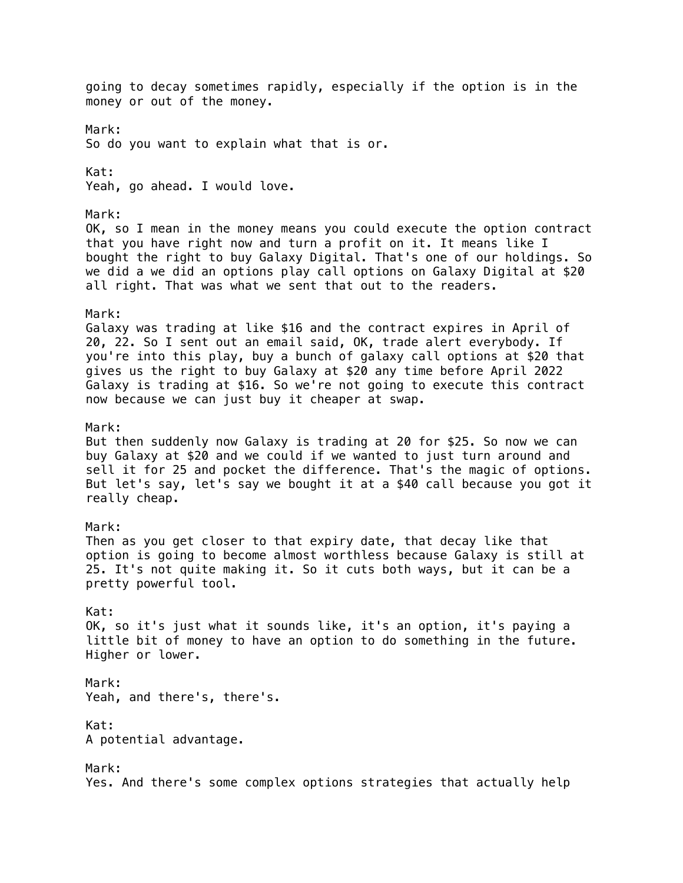going to decay sometimes rapidly, especially if the option is in the money or out of the money. Mark: So do you want to explain what that is or. Kat: Yeah, go ahead. I would love. Mark: OK, so I mean in the money means you could execute the option contract that you have right now and turn a profit on it. It means like I bought the right to buy Galaxy Digital. That's one of our holdings. So we did a we did an options play call options on Galaxy Digital at \$20 all right. That was what we sent that out to the readers. Mark: Galaxy was trading at like \$16 and the contract expires in April of 20, 22. So I sent out an email said, OK, trade alert everybody. If you're into this play, buy a bunch of galaxy call options at \$20 that gives us the right to buy Galaxy at \$20 any time before April 2022 Galaxy is trading at \$16. So we're not going to execute this contract now because we can just buy it cheaper at swap. Mark: But then suddenly now Galaxy is trading at 20 for \$25. So now we can buy Galaxy at \$20 and we could if we wanted to just turn around and sell it for 25 and pocket the difference. That's the magic of options. But let's say, let's say we bought it at a \$40 call because you got it really cheap. Mark: Then as you get closer to that expiry date, that decay like that option is going to become almost worthless because Galaxy is still at 25. It's not quite making it. So it cuts both ways, but it can be a pretty powerful tool. Kat: OK, so it's just what it sounds like, it's an option, it's paying a little bit of money to have an option to do something in the future. Higher or lower. Mark: Yeah, and there's, there's. Kat: A potential advantage. Mark: Yes. And there's some complex options strategies that actually help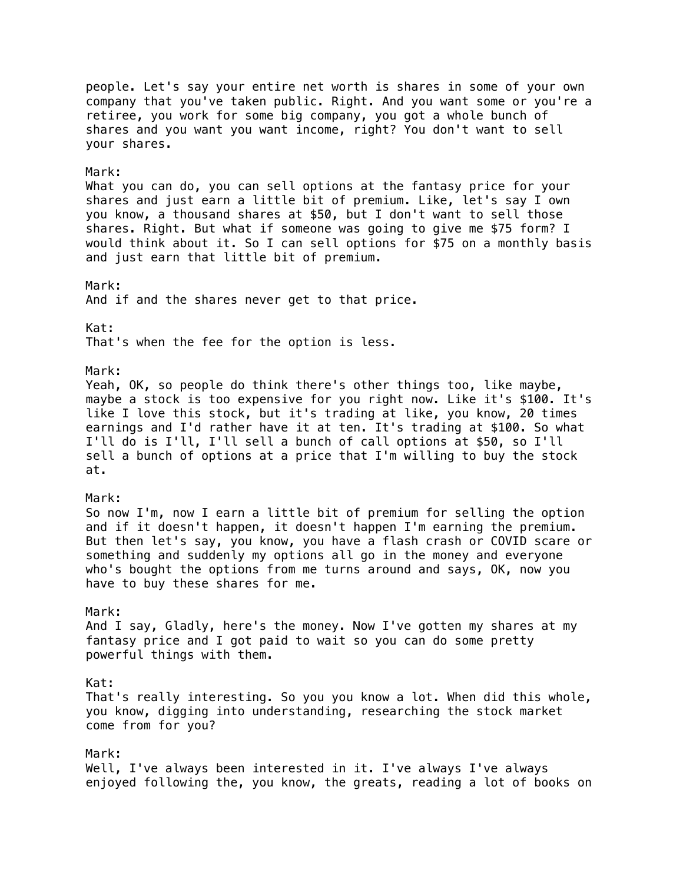people. Let's say your entire net worth is shares in some of your own company that you've taken public. Right. And you want some or you're a retiree, you work for some big company, you got a whole bunch of shares and you want you want income, right? You don't want to sell your shares. Mark: What you can do, you can sell options at the fantasy price for your shares and just earn a little bit of premium. Like, let's say I own you know, a thousand shares at \$50, but I don't want to sell those shares. Right. But what if someone was going to give me \$75 form? I would think about it. So I can sell options for \$75 on a monthly basis and just earn that little bit of premium. Mark: And if and the shares never get to that price. Kat: That's when the fee for the option is less. Mark: Yeah, OK, so people do think there's other things too, like maybe, maybe a stock is too expensive for you right now. Like it's \$100. It's like I love this stock, but it's trading at like, you know, 20 times earnings and I'd rather have it at ten. It's trading at \$100. So what I'll do is I'll, I'll sell a bunch of call options at \$50, so I'll sell a bunch of options at a price that I'm willing to buy the stock at. Mark: So now I'm, now I earn a little bit of premium for selling the option and if it doesn't happen, it doesn't happen I'm earning the premium. But then let's say, you know, you have a flash crash or COVID scare or something and suddenly my options all go in the money and everyone who's bought the options from me turns around and says, OK, now you have to buy these shares for me. Mark: And I say, Gladly, here's the money. Now I've gotten my shares at my fantasy price and I got paid to wait so you can do some pretty powerful things with them. Kat: That's really interesting. So you you know a lot. When did this whole, you know, digging into understanding, researching the stock market come from for you? Mark: Well, I've always been interested in it. I've always I've always enjoyed following the, you know, the greats, reading a lot of books on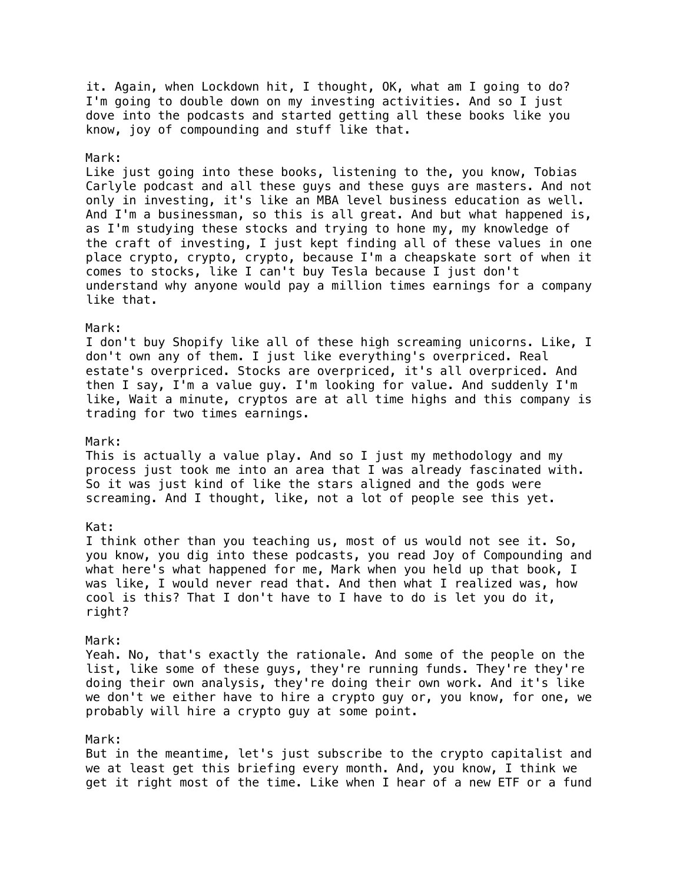it. Again, when Lockdown hit, I thought, OK, what am I going to do? I'm going to double down on my investing activities. And so I just dove into the podcasts and started getting all these books like you know, joy of compounding and stuff like that.

### Mark:

Like just going into these books, listening to the, you know, Tobias Carlyle podcast and all these guys and these guys are masters. And not only in investing, it's like an MBA level business education as well. And I'm a businessman, so this is all great. And but what happened is, as I'm studying these stocks and trying to hone my, my knowledge of the craft of investing, I just kept finding all of these values in one place crypto, crypto, crypto, because I'm a cheapskate sort of when it comes to stocks, like I can't buy Tesla because I just don't understand why anyone would pay a million times earnings for a company like that.

#### Mark:

I don't buy Shopify like all of these high screaming unicorns. Like, I don't own any of them. I just like everything's overpriced. Real estate's overpriced. Stocks are overpriced, it's all overpriced. And then I say, I'm a value guy. I'm looking for value. And suddenly I'm like, Wait a minute, cryptos are at all time highs and this company is trading for two times earnings.

#### Mark:

This is actually a value play. And so I just my methodology and my process just took me into an area that I was already fascinated with. So it was just kind of like the stars aligned and the gods were screaming. And I thought, like, not a lot of people see this yet.

### Kat:

I think other than you teaching us, most of us would not see it. So, you know, you dig into these podcasts, you read Joy of Compounding and what here's what happened for me, Mark when you held up that book, I was like, I would never read that. And then what I realized was, how cool is this? That I don't have to I have to do is let you do it, right?

### Mark:

Yeah. No, that's exactly the rationale. And some of the people on the list, like some of these guys, they're running funds. They're they're doing their own analysis, they're doing their own work. And it's like we don't we either have to hire a crypto guy or, you know, for one, we probably will hire a crypto guy at some point.

### Mark:

But in the meantime, let's just subscribe to the crypto capitalist and we at least get this briefing every month. And, you know, I think we get it right most of the time. Like when I hear of a new ETF or a fund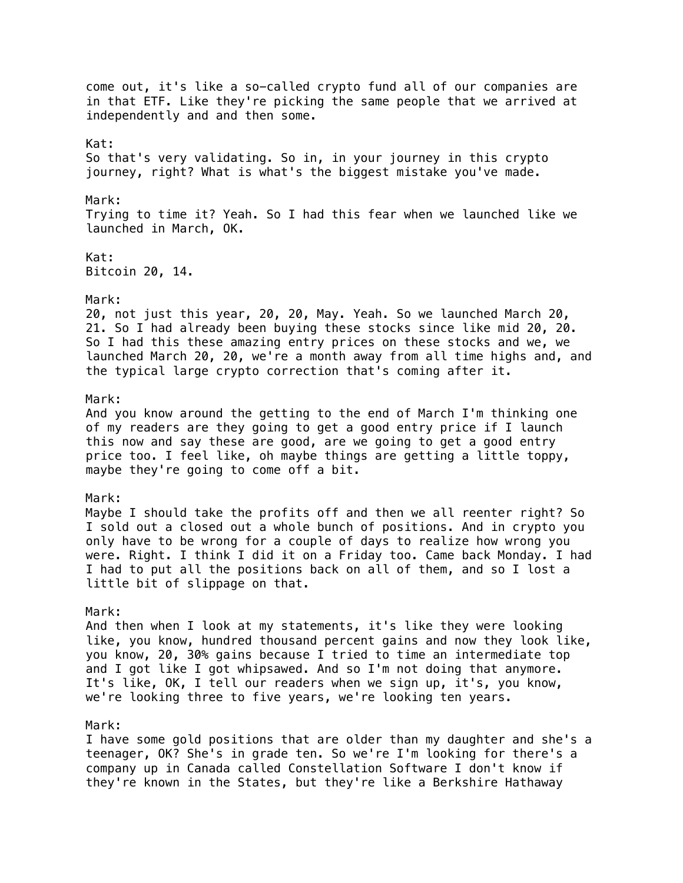come out, it's like a so-called crypto fund all of our companies are in that ETF. Like they're picking the same people that we arrived at independently and and then some. Kat: So that's very validating. So in, in your journey in this crypto journey, right? What is what's the biggest mistake you've made. Mark: Trying to time it? Yeah. So I had this fear when we launched like we launched in March, OK. Kat: Bitcoin 20, 14. Mark: 20, not just this year, 20, 20, May. Yeah. So we launched March 20, 21. So I had already been buying these stocks since like mid 20, 20. So I had this these amazing entry prices on these stocks and we, we launched March 20, 20, we're a month away from all time highs and, and the typical large crypto correction that's coming after it. Mark: And you know around the getting to the end of March I'm thinking one of my readers are they going to get a good entry price if I launch this now and say these are good, are we going to get a good entry price too. I feel like, oh maybe things are getting a little toppy, maybe they're going to come off a bit. Mark: Maybe I should take the profits off and then we all reenter right? So I sold out a closed out a whole bunch of positions. And in crypto you only have to be wrong for a couple of days to realize how wrong you were. Right. I think I did it on a Friday too. Came back Monday. I had I had to put all the positions back on all of them, and so I lost a little bit of slippage on that. Mark: And then when I look at my statements, it's like they were looking like, you know, hundred thousand percent gains and now they look like, you know, 20, 30% gains because I tried to time an intermediate top and I got like I got whipsawed. And so I'm not doing that anymore. It's like, OK, I tell our readers when we sign up, it's, you know, we're looking three to five years, we're looking ten years. Mark: I have some gold positions that are older than my daughter and she's a teenager, OK? She's in grade ten. So we're I'm looking for there's a company up in Canada called Constellation Software I don't know if they're known in the States, but they're like a Berkshire Hathaway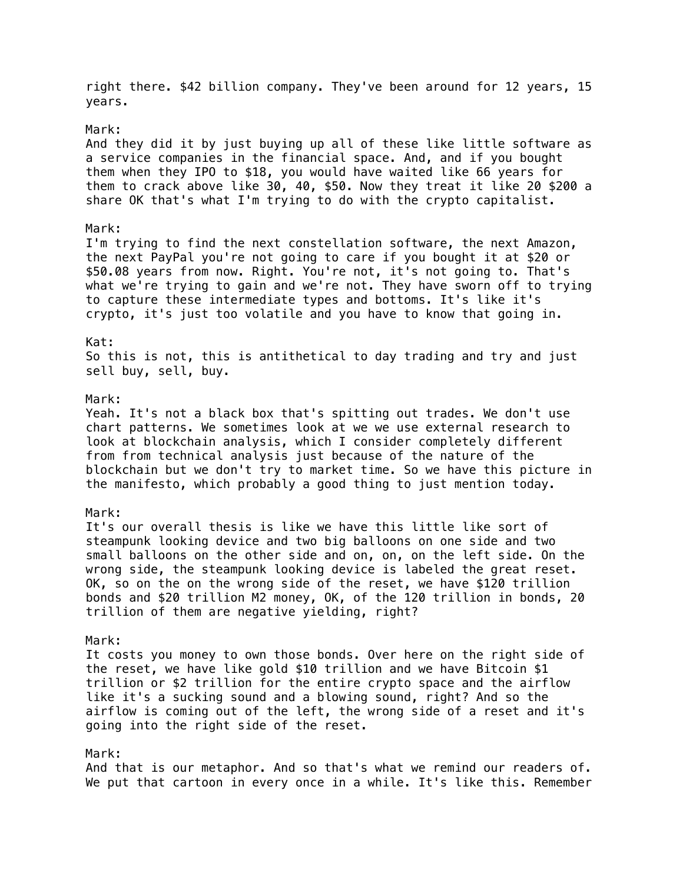right there. \$42 billion company. They've been around for 12 years, 15 years.

### Mark:

And they did it by just buying up all of these like little software as a service companies in the financial space. And, and if you bought them when they IPO to \$18, you would have waited like 66 years for them to crack above like 30, 40, \$50. Now they treat it like 20 \$200 a share OK that's what I'm trying to do with the crypto capitalist.

## Mark:

I'm trying to find the next constellation software, the next Amazon, the next PayPal you're not going to care if you bought it at \$20 or \$50.08 years from now. Right. You're not, it's not going to. That's what we're trying to gain and we're not. They have sworn off to trying to capture these intermediate types and bottoms. It's like it's crypto, it's just too volatile and you have to know that going in.

# Kat:

So this is not, this is antithetical to day trading and try and just sell buy, sell, buy.

### Mark:

Yeah. It's not a black box that's spitting out trades. We don't use chart patterns. We sometimes look at we we use external research to look at blockchain analysis, which I consider completely different from from technical analysis just because of the nature of the blockchain but we don't try to market time. So we have this picture in the manifesto, which probably a good thing to just mention today.

### Mark:

It's our overall thesis is like we have this little like sort of steampunk looking device and two big balloons on one side and two small balloons on the other side and on, on, on the left side. On the wrong side, the steampunk looking device is labeled the great reset. OK, so on the on the wrong side of the reset, we have \$120 trillion bonds and \$20 trillion M2 money, OK, of the 120 trillion in bonds, 20 trillion of them are negative yielding, right?

### Mark:

It costs you money to own those bonds. Over here on the right side of the reset, we have like gold \$10 trillion and we have Bitcoin \$1 trillion or \$2 trillion for the entire crypto space and the airflow like it's a sucking sound and a blowing sound, right? And so the airflow is coming out of the left, the wrong side of a reset and it's going into the right side of the reset.

## Mark:

And that is our metaphor. And so that's what we remind our readers of. We put that cartoon in every once in a while. It's like this. Remember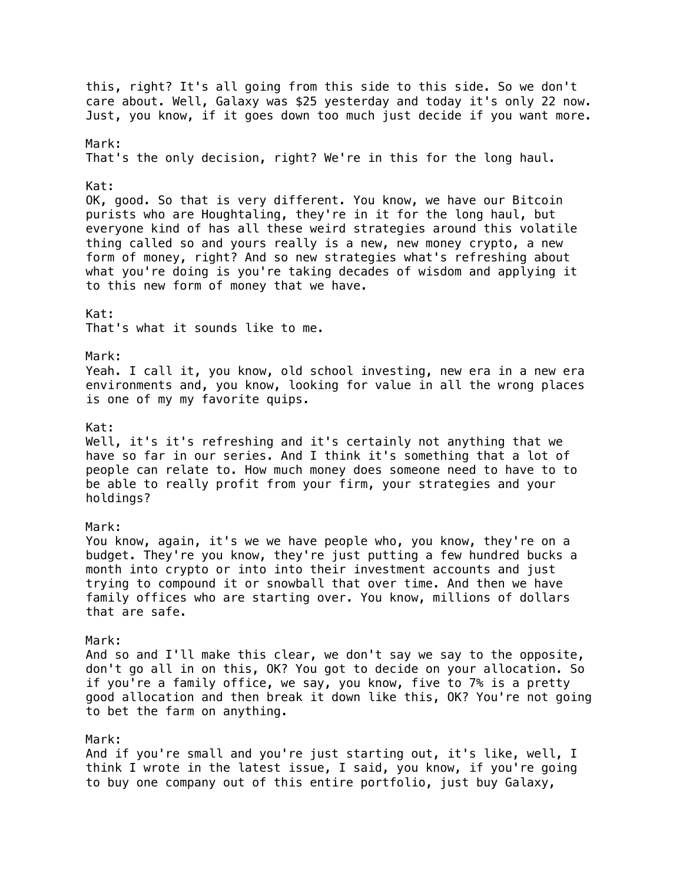this, right? It's all going from this side to this side. So we don't care about. Well, Galaxy was \$25 yesterday and today it's only 22 now. Just, you know, if it goes down too much just decide if you want more. Mark: That's the only decision, right? We're in this for the long haul. Kat: OK, good. So that is very different. You know, we have our Bitcoin purists who are Houghtaling, they're in it for the long haul, but everyone kind of has all these weird strategies around this volatile thing called so and yours really is a new, new money crypto, a new form of money, right? And so new strategies what's refreshing about what you're doing is you're taking decades of wisdom and applying it to this new form of money that we have. Kat: That's what it sounds like to me. Mark: Yeah. I call it, you know, old school investing, new era in a new era environments and, you know, looking for value in all the wrong places is one of my my favorite quips. Kat: Well, it's it's refreshing and it's certainly not anything that we have so far in our series. And I think it's something that a lot of people can relate to. How much money does someone need to have to to be able to really profit from your firm, your strategies and your holdings? Mark: You know, again, it's we we have people who, you know, they're on a budget. They're you know, they're just putting a few hundred bucks a month into crypto or into into their investment accounts and just trying to compound it or snowball that over time. And then we have family offices who are starting over. You know, millions of dollars that are safe. Mark: And so and I'll make this clear, we don't say we say to the opposite, don't go all in on this, OK? You got to decide on your allocation. So if you're a family office, we say, you know, five to 7% is a pretty good allocation and then break it down like this, OK? You're not going to bet the farm on anything. Mark: And if you're small and you're just starting out, it's like, well, I think I wrote in the latest issue, I said, you know, if you're going to buy one company out of this entire portfolio, just buy Galaxy,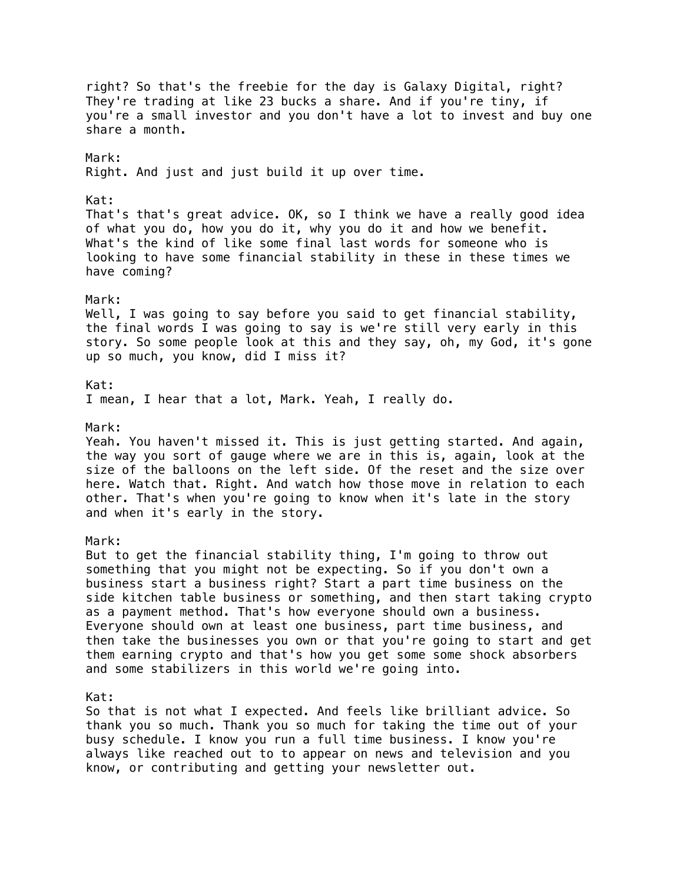right? So that's the freebie for the day is Galaxy Digital, right? They're trading at like 23 bucks a share. And if you're tiny, if you're a small investor and you don't have a lot to invest and buy one share a month. Mark: Right. And just and just build it up over time. Kat: That's that's great advice. OK, so I think we have a really good idea of what you do, how you do it, why you do it and how we benefit. What's the kind of like some final last words for someone who is looking to have some financial stability in these in these times we have coming? Mark: Well, I was going to say before you said to get financial stability, the final words I was going to say is we're still very early in this story. So some people look at this and they say, oh, my God, it's gone up so much, you know, did I miss it? Kat: I mean, I hear that a lot, Mark. Yeah, I really do. Mark: Yeah. You haven't missed it. This is just getting started. And again, the way you sort of gauge where we are in this is, again, look at the size of the balloons on the left side. Of the reset and the size over here. Watch that. Right. And watch how those move in relation to each other. That's when you're going to know when it's late in the story and when it's early in the story. Mark: But to get the financial stability thing, I'm going to throw out something that you might not be expecting. So if you don't own a business start a business right? Start a part time business on the side kitchen table business or something, and then start taking crypto as a payment method. That's how everyone should own a business. Everyone should own at least one business, part time business, and then take the businesses you own or that you're going to start and get them earning crypto and that's how you get some some shock absorbers and some stabilizers in this world we're going into. Kat: So that is not what I expected. And feels like brilliant advice. So thank you so much. Thank you so much for taking the time out of your busy schedule. I know you run a full time business. I know you're always like reached out to to appear on news and television and you know, or contributing and getting your newsletter out.